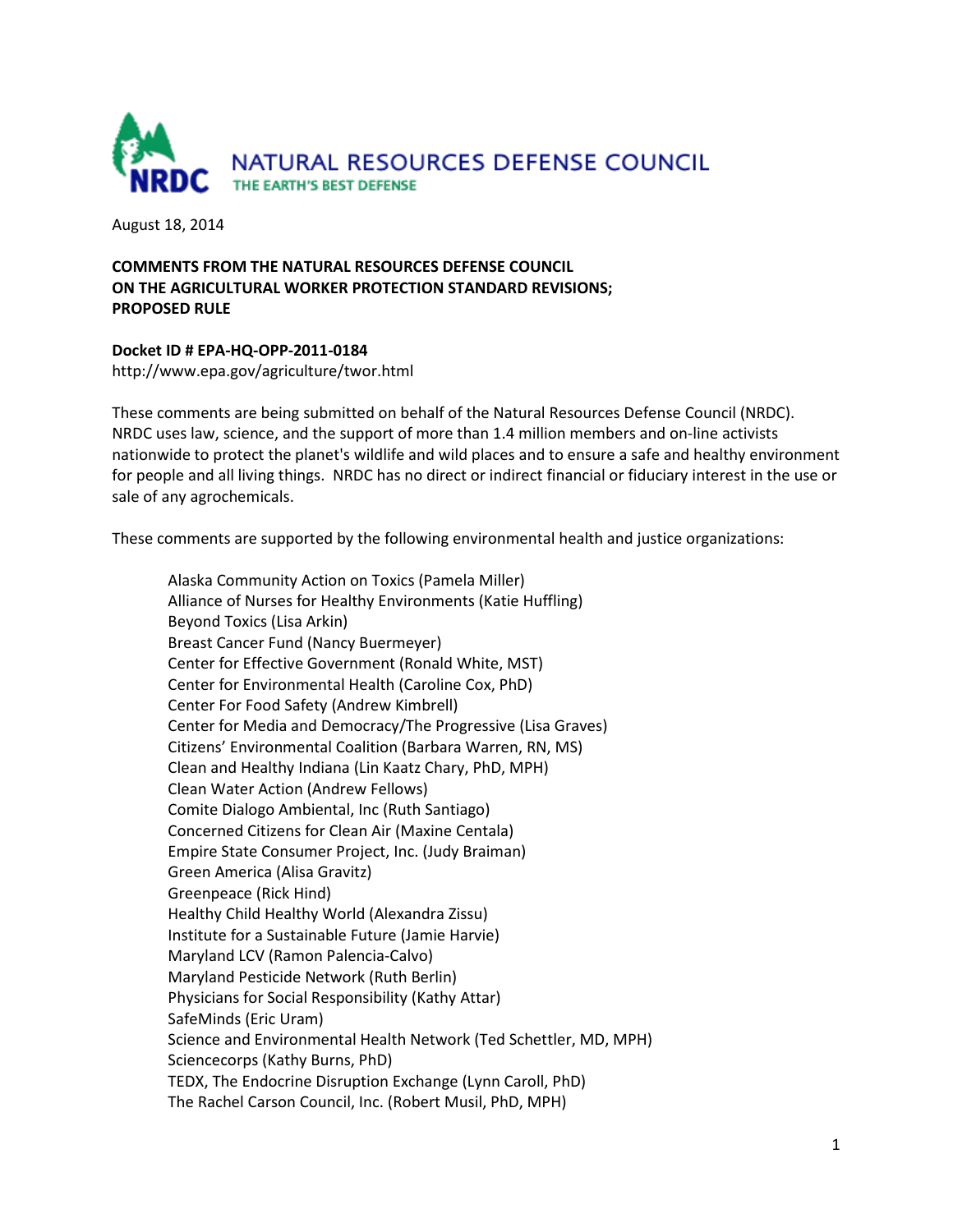

August 18, 2014

## **COMMENTS FROM THE NATURAL RESOURCES DEFENSE COUNCIL ON THE AGRICULTURAL WORKER PROTECTION STANDARD REVISIONS; PROPOSED RULE**

## **Docket ID # EPA-HQ-OPP-2011-0184**

http://www.epa.gov/agriculture/twor.html

These comments are being submitted on behalf of the Natural Resources Defense Council (NRDC). NRDC uses law, science, and the support of more than 1.4 million members and on-line activists nationwide to protect the planet's wildlife and wild places and to ensure a safe and healthy environment for people and all living things. NRDC has no direct or indirect financial or fiduciary interest in the use or sale of any agrochemicals.

These comments are supported by the following environmental health and justice organizations:

Alaska Community Action on Toxics (Pamela Miller) Alliance of Nurses for Healthy Environments (Katie Huffling) Beyond Toxics (Lisa Arkin) Breast Cancer Fund (Nancy Buermeyer) Center for Effective Government (Ronald White, MST) Center for Environmental Health (Caroline Cox, PhD) Center For Food Safety (Andrew Kimbrell) Center for Media and Democracy/The Progressive (Lisa Graves) Citizens' Environmental Coalition (Barbara Warren, RN, MS) Clean and Healthy Indiana (Lin Kaatz Chary, PhD, MPH) Clean Water Action (Andrew Fellows) Comite Dialogo Ambiental, Inc (Ruth Santiago) Concerned Citizens for Clean Air (Maxine Centala) Empire State Consumer Project, Inc. (Judy Braiman) Green America (Alisa Gravitz) Greenpeace (Rick Hind) Healthy Child Healthy World (Alexandra Zissu) Institute for a Sustainable Future (Jamie Harvie) Maryland LCV (Ramon Palencia-Calvo) Maryland Pesticide Network (Ruth Berlin) Physicians for Social Responsibility (Kathy Attar) SafeMinds (Eric Uram) Science and Environmental Health Network (Ted Schettler, MD, MPH) Sciencecorps (Kathy Burns, PhD) TEDX, The Endocrine Disruption Exchange (Lynn Caroll, PhD) The Rachel Carson Council, Inc. (Robert Musil, PhD, MPH)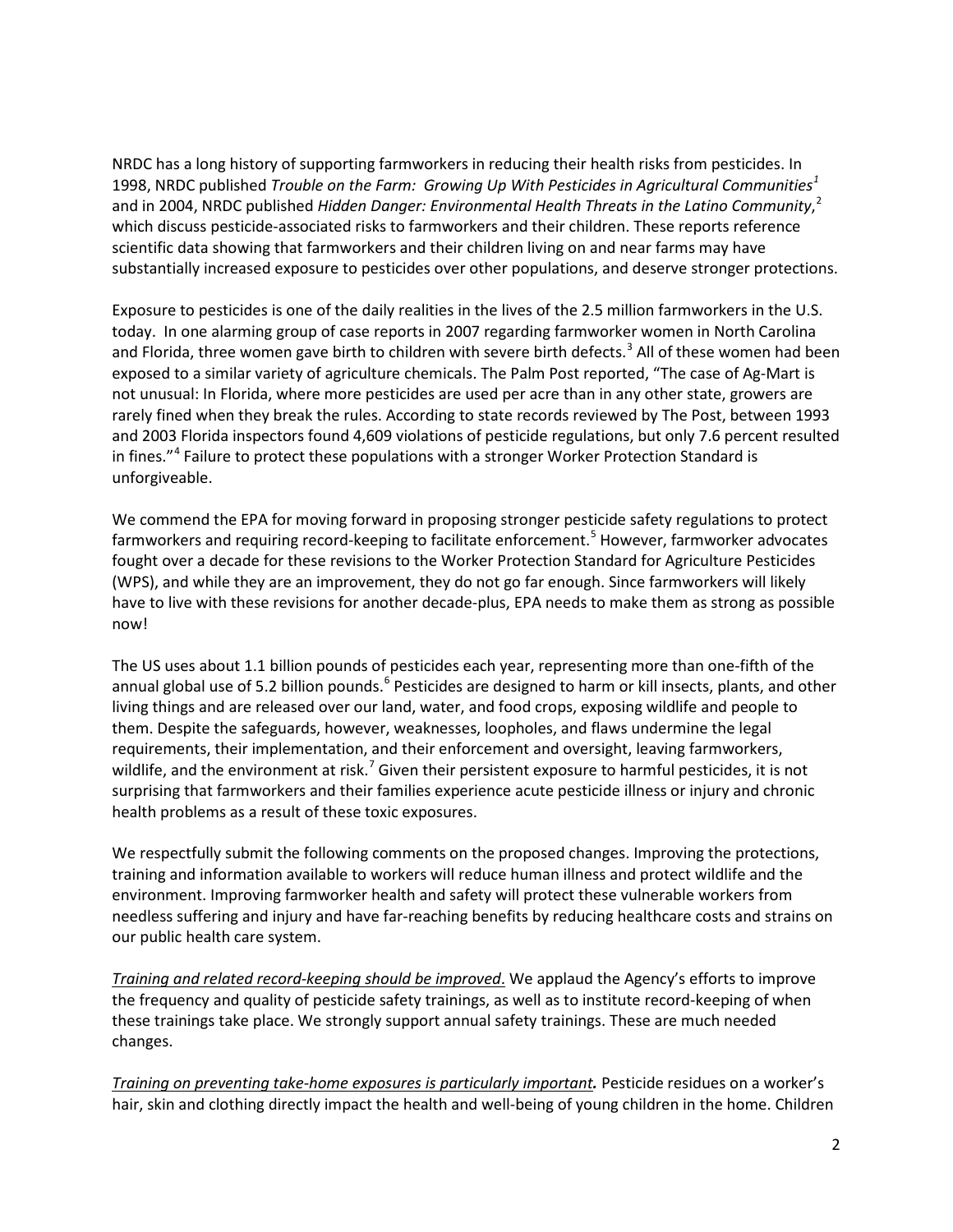NRDC has a long history of supporting farmworkers in reducing their health risks from pesticides. In 1998, NRDC published *Trouble on the Farm: Growing Up With Pesticides in Agricultural Communities[1](#page-4-0)* and in 2004, NRDC published *Hidden Danger: Environmental Health Threats in the Latino Community*, [2](#page-4-1) which discuss pesticide-associated risks to farmworkers and their children. These reports reference scientific data showing that farmworkers and their children living on and near farms may have substantially increased exposure to pesticides over other populations, and deserve stronger protections.

Exposure to pesticides is one of the daily realities in the lives of the 2.5 million farmworkers in the U.S. today. In one alarming group of case reports in 2007 regarding farmworker women in North Carolina and Florida, three women gave birth to children with severe birth defects.<sup>[3](#page-4-2)</sup> All of these women had been exposed to a similar variety of agriculture chemicals. The Palm Post reported, "The case of Ag-Mart is not unusual: In Florida, where more pesticides are used per acre than in any other state, growers are rarely fined when they break the rules. According to state records reviewed by The Post, between 1993 and 2003 Florida inspectors found 4,609 violations of pesticide regulations, but only 7.6 percent resulted in fines."<sup>[4](#page-4-3)</sup> Failure to protect these populations with a stronger Worker Protection Standard is unforgiveable.

We commend the EPA for moving forward in proposing stronger pesticide safety regulations to protect farmworkers and requiring record-keeping to facilitate enforcement.<sup>[5](#page-4-4)</sup> However, farmworker advocates fought over a decade for these revisions to the Worker Protection Standard for Agriculture Pesticides (WPS), and while they are an improvement, they do not go far enough. Since farmworkers will likely have to live with these revisions for another decade-plus, EPA needs to make them as strong as possible now!

The US uses about 1.1 billion pounds of pesticides each year, representing more than one-fifth of the annual global use of 5.2 billion pounds.<sup>[6](#page-4-5)</sup> Pesticides are designed to harm or kill insects, plants, and other living things and are released over our land, water, and food crops, exposing wildlife and people to them. Despite the safeguards, however, weaknesses, loopholes, and flaws undermine the legal requirements, their implementation, and their enforcement and oversight, leaving farmworkers, wildlife, and the environment at risk.<sup>[7](#page-4-6)</sup> Given their persistent exposure to harmful pesticides, it is not surprising that farmworkers and their families experience acute pesticide illness or injury and chronic health problems as a result of these toxic exposures.

We respectfully submit the following comments on the proposed changes. Improving the protections, training and information available to workers will reduce human illness and protect wildlife and the environment. Improving farmworker health and safety will protect these vulnerable workers from needless suffering and injury and have far-reaching benefits by reducing healthcare costs and strains on our public health care system.

*Training and related record-keeping should be improved*. We applaud the Agency's efforts to improve the frequency and quality of pesticide safety trainings, as well as to institute record-keeping of when these trainings take place. We strongly support annual safety trainings. These are much needed changes.

*Training on preventing take-home exposures is particularly important.* Pesticide residues on a worker's hair, skin and clothing directly impact the health and well-being of young children in the home. Children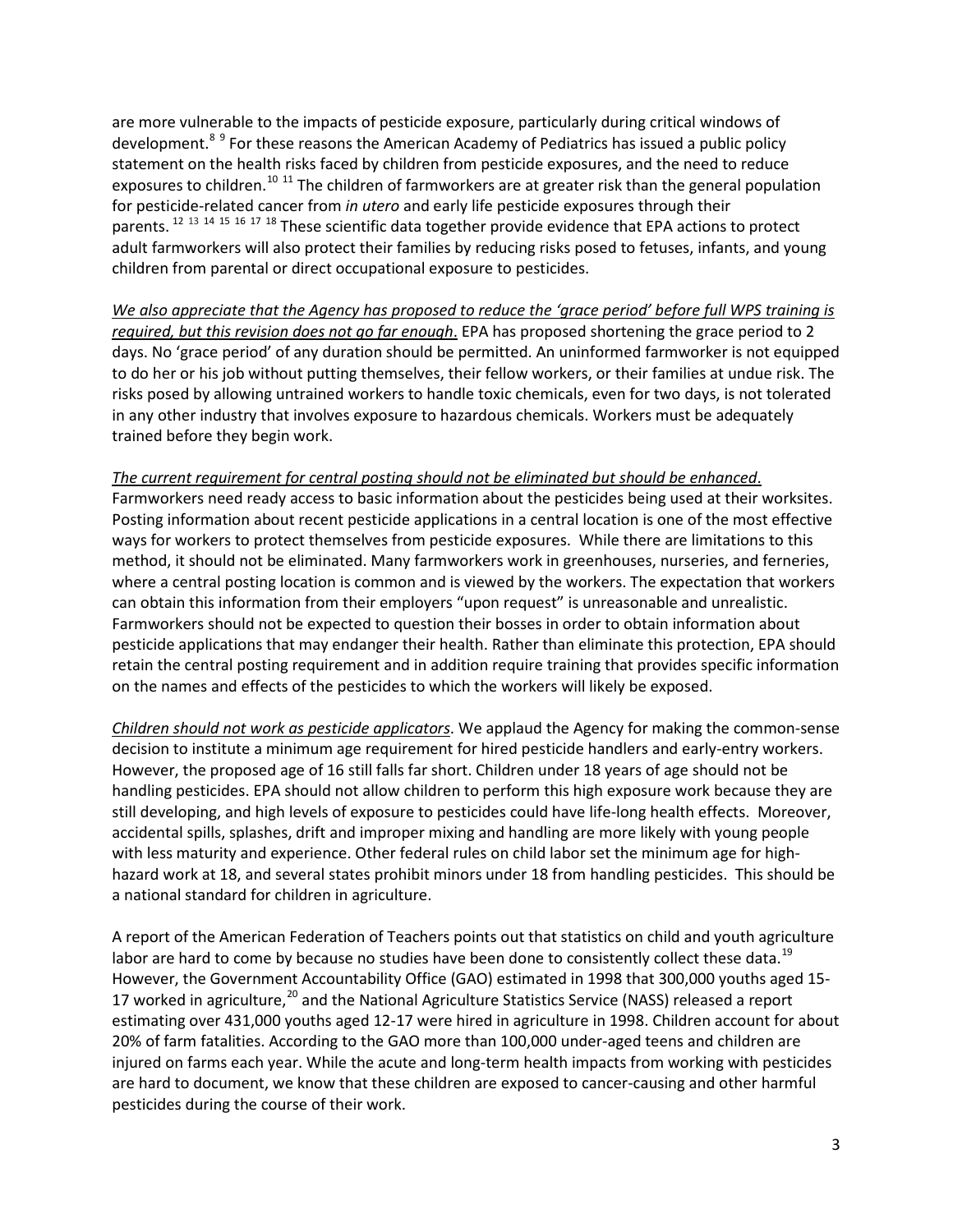are more vulnerable to the impacts of pesticide exposure, particularly during critical windows of development.<sup>[8](#page-4-7)[9](#page-4-8)</sup> For these reasons the American Academy of Pediatrics has issued a public policy statement on the health risks faced by children from pesticide exposures, and the need to reduce exposures to children.<sup>[10](#page-4-9) [11](#page-4-10)</sup> The children of farmworkers are at greater risk than the general population for pesticide-related cancer from *in utero* and early life pesticide exposures through their parents.<sup>[12](#page-4-11) [13](#page-4-12) [14](#page-4-13) [15](#page-4-14) [16](#page-4-15) [17](#page-4-16) [18](#page-4-17)</sup> These scientific data together provide evidence that EPA actions to protect adult farmworkers will also protect their families by reducing risks posed to fetuses, infants, and young children from parental or direct occupational exposure to pesticides.

*We also appreciate that the Agency has proposed to reduce the 'grace period' before full WPS training is required, but this revision does not go far enough*. EPA has proposed shortening the grace period to 2 days. No 'grace period' of any duration should be permitted. An uninformed farmworker is not equipped to do her or his job without putting themselves, their fellow workers, or their families at undue risk. The risks posed by allowing untrained workers to handle toxic chemicals, even for two days, is not tolerated in any other industry that involves exposure to hazardous chemicals. Workers must be adequately trained before they begin work.

## *The current requirement for central posting should not be eliminated but should be enhanced*.

Farmworkers need ready access to basic information about the pesticides being used at their worksites. Posting information about recent pesticide applications in a central location is one of the most effective ways for workers to protect themselves from pesticide exposures. While there are limitations to this method, it should not be eliminated. Many farmworkers work in greenhouses, nurseries, and ferneries, where a central posting location is common and is viewed by the workers. The expectation that workers can obtain this information from their employers "upon request" is unreasonable and unrealistic. Farmworkers should not be expected to question their bosses in order to obtain information about pesticide applications that may endanger their health. Rather than eliminate this protection, EPA should retain the central posting requirement and in addition require training that provides specific information on the names and effects of the pesticides to which the workers will likely be exposed.

*Children should not work as pesticide applicators*. We applaud the Agency for making the common-sense decision to institute a minimum age requirement for hired pesticide handlers and early-entry workers. However, the proposed age of 16 still falls far short. Children under 18 years of age should not be handling pesticides. EPA should not allow children to perform this high exposure work because they are still developing, and high levels of exposure to pesticides could have life-long health effects. Moreover, accidental spills, splashes, drift and improper mixing and handling are more likely with young people with less maturity and experience. Other federal rules on child labor set the minimum age for highhazard work at 18, and several states prohibit minors under 18 from handling pesticides. This should be a national standard for children in agriculture.

A report of the American Federation of Teachers points out that statistics on child and youth agriculture labor are hard to come by because no studies have been done to consistently collect these data.<sup>[19](#page-4-18)</sup> However, the Government Accountability Office (GAO) estimated in 1998 that 300,000 youths aged 15- 17 worked in agriculture,<sup>[20](#page-4-19)</sup> and the National Agriculture Statistics Service (NASS) released a report estimating over 431,000 youths aged 12-17 were hired in agriculture in 1998. Children account for about 20% of farm fatalities. According to the GAO more than 100,000 under-aged teens and children are injured on farms each year. While the acute and long-term health impacts from working with pesticides are hard to document, we know that these children are exposed to cancer-causing and other harmful pesticides during the course of their work.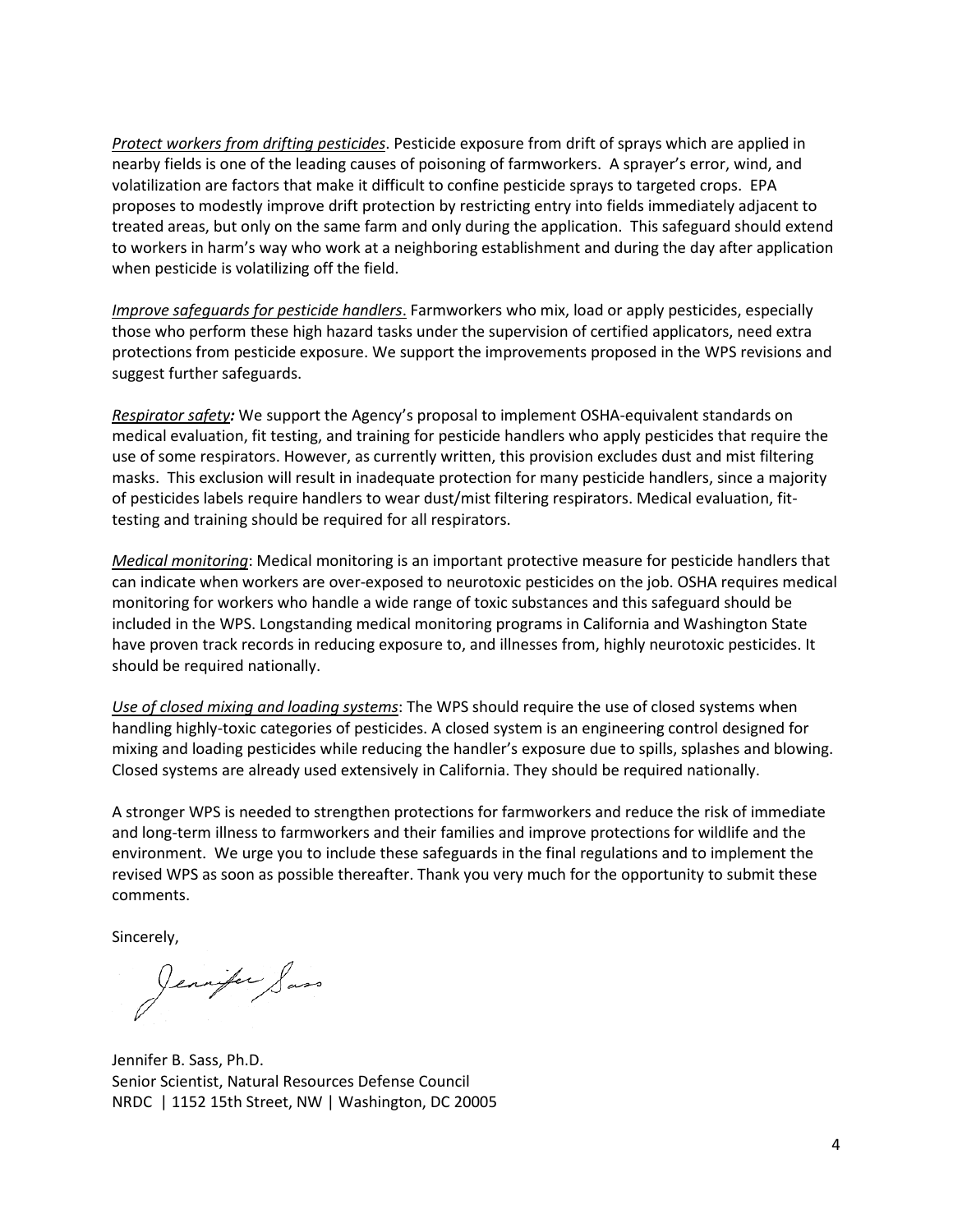*Protect workers from drifting pesticides*. Pesticide exposure from drift of sprays which are applied in nearby fields is one of the leading causes of poisoning of farmworkers. A sprayer's error, wind, and volatilization are factors that make it difficult to confine pesticide sprays to targeted crops. EPA proposes to modestly improve drift protection by restricting entry into fields immediately adjacent to treated areas, but only on the same farm and only during the application. This safeguard should extend to workers in harm's way who work at a neighboring establishment and during the day after application when pesticide is volatilizing off the field.

*Improve safeguards for pesticide handlers*. Farmworkers who mix, load or apply pesticides, especially those who perform these high hazard tasks under the supervision of certified applicators, need extra protections from pesticide exposure. We support the improvements proposed in the WPS revisions and suggest further safeguards.

*Respirator safety:* We support the Agency's proposal to implement OSHA-equivalent standards on medical evaluation, fit testing, and training for pesticide handlers who apply pesticides that require the use of some respirators. However, as currently written, this provision excludes dust and mist filtering masks. This exclusion will result in inadequate protection for many pesticide handlers, since a majority of pesticides labels require handlers to wear dust/mist filtering respirators. Medical evaluation, fittesting and training should be required for all respirators.

*Medical monitoring*: Medical monitoring is an important protective measure for pesticide handlers that can indicate when workers are over-exposed to neurotoxic pesticides on the job. OSHA requires medical monitoring for workers who handle a wide range of toxic substances and this safeguard should be included in the WPS. Longstanding medical monitoring programs in California and Washington State have proven track records in reducing exposure to, and illnesses from, highly neurotoxic pesticides. It should be required nationally.

*Use of closed mixing and loading systems*: The WPS should require the use of closed systems when handling highly-toxic categories of pesticides. A closed system is an engineering control designed for mixing and loading pesticides while reducing the handler's exposure due to spills, splashes and blowing. Closed systems are already used extensively in California. They should be required nationally.

A stronger WPS is needed to strengthen protections for farmworkers and reduce the risk of immediate and long-term illness to farmworkers and their families and improve protections for wildlife and the environment. We urge you to include these safeguards in the final regulations and to implement the revised WPS as soon as possible thereafter. Thank you very much for the opportunity to submit these comments.

Sincerely,

Jennifer Sass

Jennifer B. Sass, Ph.D. Senior Scientist, Natural Resources Defense Council NRDC | 1152 15th Street, NW | Washington, DC 20005